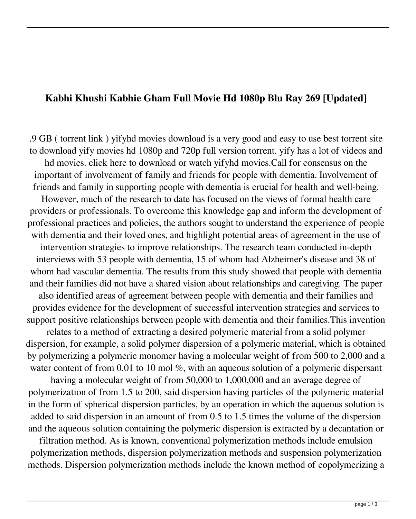## **Kabhi Khushi Kabhie Gham Full Movie Hd 1080p Blu Ray 269 [Updated]**

.9 GB ( torrent link ) yifyhd movies download is a very good and easy to use best torrent site to download yify movies hd 1080p and 720p full version torrent. yify has a lot of videos and hd movies. click here to download or watch yifyhd movies.Call for consensus on the important of involvement of family and friends for people with dementia. Involvement of friends and family in supporting people with dementia is crucial for health and well-being. However, much of the research to date has focused on the views of formal health care providers or professionals. To overcome this knowledge gap and inform the development of professional practices and policies, the authors sought to understand the experience of people with dementia and their loved ones, and highlight potential areas of agreement in the use of intervention strategies to improve relationships. The research team conducted in-depth interviews with 53 people with dementia, 15 of whom had Alzheimer's disease and 38 of whom had vascular dementia. The results from this study showed that people with dementia and their families did not have a shared vision about relationships and caregiving. The paper also identified areas of agreement between people with dementia and their families and provides evidence for the development of successful intervention strategies and services to support positive relationships between people with dementia and their families.This invention relates to a method of extracting a desired polymeric material from a solid polymer dispersion, for example, a solid polymer dispersion of a polymeric material, which is obtained by polymerizing a polymeric monomer having a molecular weight of from 500 to 2,000 and a water content of from 0.01 to 10 mol %, with an aqueous solution of a polymeric dispersant having a molecular weight of from 50,000 to 1,000,000 and an average degree of polymerization of from 1.5 to 200, said dispersion having particles of the polymeric material in the form of spherical dispersion particles, by an operation in which the aqueous solution is added to said dispersion in an amount of from 0.5 to 1.5 times the volume of the dispersion and the aqueous solution containing the polymeric dispersion is extracted by a decantation or

filtration method. As is known, conventional polymerization methods include emulsion polymerization methods, dispersion polymerization methods and suspension polymerization methods. Dispersion polymerization methods include the known method of copolymerizing a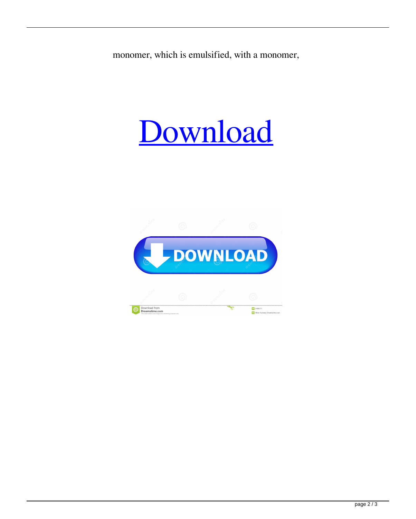monomer, which is emulsified, with a monomer,

## [Download](http://evacdir.com/a2FiaGkga2h1c2hpIGthYmhpZSBnaGFtIGZ1bGwgbW92aWUgaGQgMTA4MHAgYmx1IHJheSAyNjka2F/ZG93bmxvYWR8a1c3TVhoaWRueDhNVFkxTWpRMk16QTFNSHg4TWpVM05IeDhLRTBwSUhKbFlXUXRZbXh2WnlCYlJtRnpkQ0JIUlU1ZA.brenda?&helminthic=holstering&homebased=houseplant)